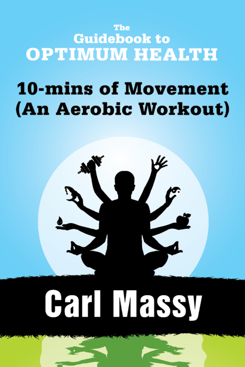### The **Guidebook to OPTIMUM HEALTH**

# **10-mins of Movement** (An Aerobic Workout)



# Carl Massy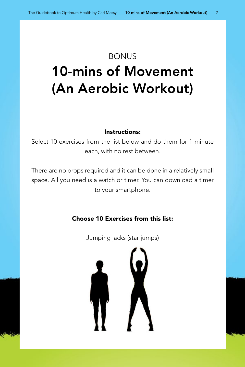## **BONUS** 10-mins of Movement (An Aerobic Workout)

#### Instructions:

Select 10 exercises from the list below and do them for 1 minute each, with no rest between.

There are no props required and it can be done in a relatively small space. All you need is a watch or timer. You can download a timer to your smartphone.

#### Choose 10 Exercises from this list:

- Jumping jacks (star jumps) –

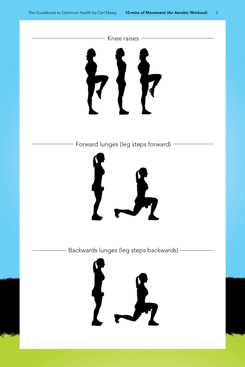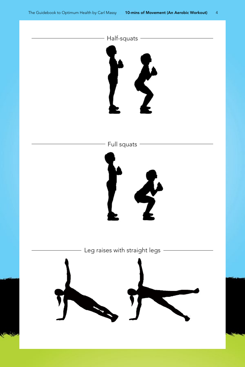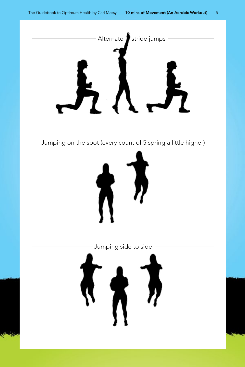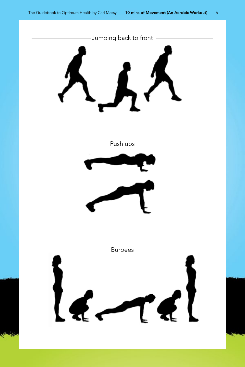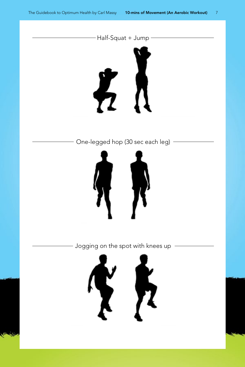